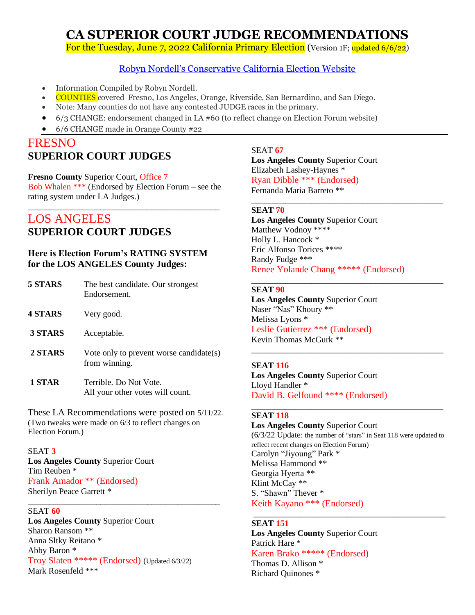# **CA SUPERIOR COURT JUDGE RECOMMENDATIONS**

For the Tuesday, June 7, 2022 California Primary Election (Version 1F; updated 6/6/22)

#### [Robyn Nordell's Conservative California Election Website](https://robynnordell.com/index.html)

- Information Compiled by Robyn Nordell.
- COUNTIES covered Fresno, Los Angeles, Orange, Riverside, San Bernardino, and San Diego.
- Note: Many counties do not have any contested JUDGE races in the primary.
- 6/3 CHANGE: endorsement changed in LA #60 (to reflect change on Election Forum website)
- 6/6 CHANGE made in Orange County #22

### FRESNO **SUPERIOR COURT JUDGES**

### **Fresno County** Superior Court, Office 7

Bob Whalen \*\*\* (Endorsed by Election Forum – see the rating system under LA Judges.) \_\_\_\_\_\_\_\_\_\_\_\_\_\_\_\_\_\_\_\_\_\_\_\_\_\_\_\_\_\_\_\_\_\_\_\_\_\_\_\_\_\_\_\_\_

### LOS ANGELES **SUPERIOR COURT JUDGES**

#### **Here is Election Forum's RATING SYSTEM for the LOS ANGELES County Judges:**

| 5 STARS | The best candidate. Our strongest<br>Endorsement.          |
|---------|------------------------------------------------------------|
| 4 STARS | Very good.                                                 |
| 3 STARS | Acceptable.                                                |
| 2 STARS | Vote only to prevent worse candidate(s)<br>from winning.   |
| 1 STAR  | Terrible. Do Not Vote.<br>All your other votes will count. |

These LA Recommendations were posted on 5/11/22. (Two tweaks were made on 6/3 to reflect changes on Election Forum.)

\_\_\_\_\_\_\_\_\_\_\_\_\_\_\_\_\_\_\_\_\_\_\_\_\_\_\_\_\_\_\_\_\_\_\_\_\_\_\_\_\_\_\_\_\_

#### SEAT **3**

**Los Angeles County** Superior Court Tim Reuben \* Frank Amador \*\* (Endorsed) Sherilyn Peace Garrett \*

#### SEAT **60**

**Los Angeles County** Superior Court Sharon Ransom \*\* Anna Sltky Reitano \* Abby Baron \* Troy Slaten \*\*\*\*\* (Endorsed) (Updated 6/3/22) Mark Rosenfeld \*\*\*

#### SEAT **67**

**Los Angeles County** Superior Court Elizabeth Lashey-Haynes \* Ryan Dibble \*\*\* (Endorsed) Fernanda Maria Barreto \*\*

#### **SEAT 70**

**Los Angeles County** Superior Court Matthew Vodnoy \*\*\*\* Holly L. Hancock<sup>\*</sup> Eric Alfonso Torices \*\*\*\* Randy Fudge \*\*\* Renee Yolande Chang \*\*\*\*\* (Endorsed)

\_\_\_\_\_\_\_\_\_\_\_\_\_\_\_\_\_\_\_\_\_\_\_\_\_\_\_\_\_\_\_\_\_\_\_\_\_\_\_\_\_\_\_\_\_

\_\_\_\_\_\_\_\_\_\_\_\_\_\_\_\_\_\_\_\_\_\_\_\_\_\_\_\_\_\_\_\_\_\_\_\_\_\_\_\_\_\_\_\_\_

#### **SEAT 90**

**Los Angeles County** Superior Court Naser "Nas" Khoury \*\* Melissa Lyons \* Leslie Gutierrez \*\*\* (Endorsed) Kevin Thomas McGurk \*\* \_\_\_\_\_\_\_\_\_\_\_\_\_\_\_\_\_\_\_\_\_\_\_\_\_\_\_\_\_\_\_\_\_\_\_\_\_\_\_\_\_\_\_\_\_

#### **SEAT 116**

**Los Angeles County** Superior Court Lloyd Handler \* David B. Gelfound \*\*\*\* (Endorsed)

#### **SEAT 118**

**Los Angeles County** Superior Court (6/3/22 Update: the number of "stars" in Seat 118 were updated to reflect recent changes on Election Forum) Carolyn "Jiyoung" Park \* Melissa Hammond \*\* Georgia Hyerta \*\* Klint McCay \*\* S. "Shawn" Thever \* Keith Kayano \*\*\* (Endorsed)

\_\_\_\_\_\_\_\_\_\_\_\_\_\_\_\_\_\_\_\_\_\_\_\_\_\_\_\_\_\_\_\_\_\_\_\_\_\_\_\_\_\_\_\_\_

\_\_\_\_\_\_\_\_\_\_\_\_\_\_\_\_\_\_\_\_\_\_\_\_\_\_\_\_\_\_\_\_\_\_\_\_\_\_\_\_\_\_\_\_\_

#### **SEAT 151**

**Los Angeles County** Superior Court Patrick Hare \* Karen Brako \*\*\*\*\* (Endorsed) Thomas D. Allison \*

Richard Quinones \*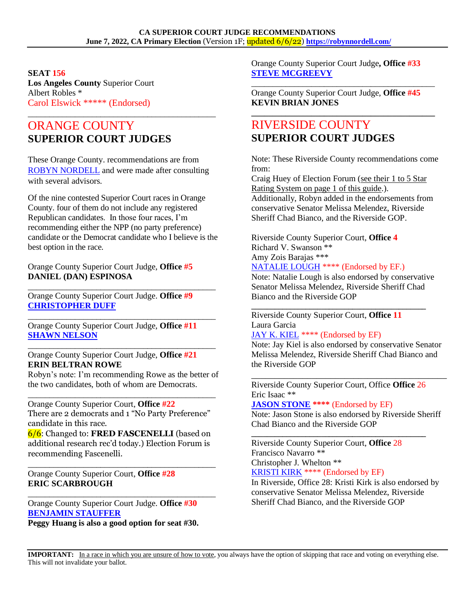#### **SEAT 156**

**Los Angeles County** Superior Court Albert Robles \* Carol Elswick \*\*\*\*\* (Endorsed)

# ORANGE COUNTY **SUPERIOR COURT JUDGES**

These Orange County. recommendations are from [ROBYN NORDELL](https://robynnordell.com/about-robyn/) and were made after consulting with several advisors.

\_\_\_\_\_\_\_\_\_\_\_\_\_\_\_\_\_\_\_\_\_\_\_\_\_\_\_\_\_\_\_\_\_\_\_\_\_\_\_\_\_\_\_\_

Of the nine contested Superior Court races in Orange County. four of them do not include any registered Republican candidates. In those four races, I'm recommending either the NPP (no party preference) candidate or the Democrat candidate who I believe is the best option in the race.

Orange County Superior Court Judge, **Office #5 DANIEL (DAN) ESPINOSA**

\_\_\_\_\_\_\_\_\_\_\_\_\_\_\_\_\_\_\_\_\_\_\_\_\_\_\_\_\_\_\_\_\_\_\_\_\_\_\_\_\_\_\_\_ Orange County Superior Court Judge. **Office #9 [CHRISTOPHER DUFF](http://www.duff4judge.com/)**

Orange County Superior Court Judge, **Office #11 [SHAWN NELSON](http://www.nelsonjudge.com/)**

\_\_\_\_\_\_\_\_\_\_\_\_\_\_\_\_\_\_\_\_\_\_\_\_\_\_\_\_\_\_\_\_\_\_\_\_\_\_\_\_\_\_\_\_

\_\_\_\_\_\_\_\_\_\_\_\_\_\_\_\_\_\_\_\_\_\_\_\_\_\_\_\_\_\_\_\_\_\_\_\_\_\_\_\_\_\_\_\_

Orange County Superior Court Judge, **Office #21 ERIN BELTRAN ROWE**

Robyn's note: I'm recommending Rowe as the better of the two candidates, both of whom are Democrats.

\_\_\_\_\_\_\_\_\_\_\_\_\_\_\_\_\_\_\_\_\_\_\_\_\_\_\_\_\_\_\_\_\_\_\_\_\_\_\_\_\_\_\_\_ Orange County Superior Court, **Office #22** There are 2 democrats and 1 "No Party Preference" candidate in this race.

6/6: Changed to: **FRED FASCENELLI** (based on additional research rec'd today.) Election Forum is recommending Fascenelli.

\_\_\_\_\_\_\_\_\_\_\_\_\_\_\_\_\_\_\_\_\_\_\_\_\_\_\_\_\_\_\_\_\_\_\_\_\_\_\_\_\_\_\_\_

\_\_\_\_\_\_\_\_\_\_\_\_\_\_\_\_\_\_\_\_\_\_\_\_\_\_\_\_\_\_\_\_\_\_\_\_\_\_\_\_\_\_\_\_

Orange County Superior Court, **Office #28 ERIC SCARBROUGH**

Orange County Superior Court Judge. **Office #30 [BENJAMIN STAUFFER](https://ballotpedia.org/Benjamin_Stauffer)**

**Peggy Huang is also a good option for seat #30.**

Orange County Superior Court Judge**, Office #33 [STEVE MCGREEVY](https://mcgreevy4judge.com/)**

Orange County Superior Court Judge, **Office #45 KEVIN BRIAN JONES**

\_\_\_\_\_\_\_\_\_\_\_\_\_\_\_\_\_\_\_\_\_\_\_\_\_\_\_\_\_\_\_\_\_\_\_\_\_\_\_\_\_\_\_

**\_\_\_\_\_\_\_\_\_\_\_\_\_\_\_\_\_\_\_\_\_\_\_\_\_\_\_\_\_\_\_\_\_\_\_\_\_\_\_\_\_\_\_**

## RIVERSIDE COUNTY **SUPERIOR COURT JUDGES**

Note: These Riverside County recommendations come from:

Craig Huey of Election Forum (see their 1 to 5 Star Rating System on page 1 of this guide.). Additionally, Robyn added in the endorsements from conservative Senator Melissa Melendez, Riverside Sheriff Chad Bianco, and the Riverside GOP.

Riverside County Superior Court, **Office 4** Richard V. Swanson \*\* Amy Zois Barajas \*\*\* [NATALIE](https://loughforjudge.com/) LOUGH \*\*\*\* (Endorsed by EF.)

Note: Natalie Lough is also endorsed by conservative Senator Melissa Melendez, Riverside Sheriff Chad Bianco and the Riverside GOP

**\_\_\_\_\_\_\_\_\_\_\_\_\_\_\_\_\_\_\_\_\_\_\_\_\_\_\_\_\_\_\_\_\_\_\_\_\_\_\_\_\_\_\_\_\_** 

Riverside County Superior Court, **Office 11** Laura Garcia JAY K. [KIEL](https://kielforjudge.com/) \*\*\*\* (Endorsed by EF)

Note: Jay Kiel is also endorsed by conservative Senator Melissa Melendez, Riverside Sheriff Chad Bianco and the Riverside GOP

\_\_\_\_\_\_\_\_\_\_\_\_\_\_\_\_\_\_\_\_\_\_\_\_\_\_\_\_\_\_\_\_\_\_\_\_\_\_\_\_\_\_

Riverside County Superior Court, Office **Office** 26 Eric Isaac \*\*

**JASON [STONE](https://stoneforjudge.org/) \*\*\*\*** (Endorsed by EF)

Note: Jason Stone is also endorsed by Riverside Sheriff Chad Bianco and the Riverside GOP

**\_\_\_\_\_\_\_\_\_\_\_\_\_\_\_\_\_\_\_\_\_\_\_\_\_\_\_\_\_\_\_\_\_\_\_\_\_\_\_\_\_\_\_\_\_**  Riverside County Superior Court, **Office** 28 Francisco Navarro \*\* Christopher J. Whelton \*\*

[KRISTI](https://kristikirkforjudge.com/) KIRK \*\*\*\* (Endorsed by EF)

In Riverside, Office 28: Kristi Kirk is also endorsed by conservative Senator Melissa Melendez, Riverside Sheriff Chad Bianco, and the Riverside GOP

**IMPORTANT:** In a race in which you are unsure of how to vote, you always have the option of skipping that race and voting on everything else. This will not invalidate your ballot.